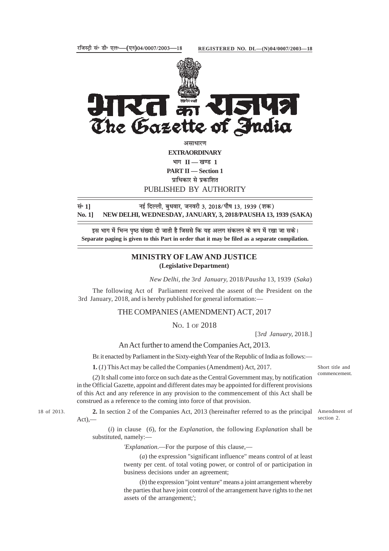



असाधारण **EXTRAORDINARY**  $\mathbf{H} = \mathbf{I}$  **II** — खण्ड 1 **PART II — Section 1 प्राधिकार से प्रकाशित** PUBLISHED BY AUTHORITY

**land 13 hand 13 hand in Fig. 3** a starting the starting term in the starting term in the starting term in the starting term in the starting term in the starting term in the starting term in the starting term in the s **No. 1] NEW DELHI, WEDNESDAY, JANUARY, 3, 2018/PAUSHA 13, 1939 (SAKA)**

इस भाग में भिन्न पृष्ठ संख्या दी जाती है जिससे कि यह अलग संकलन के रूप में रखा जा सके। **Separate paging is given to this Part in order that it may be filed as a separate compilation.**

## **MINISTRY OF LAW AND JUSTICE (Legislative Department)**

*New Delhi, the* 3*rd January,* 2018/*Pausha* 13*,* 1939 (*Saka*)

The following Act of Parliament received the assent of the President on the 3rd January, 2018, and is hereby published for general information:—

## THE COMPANIES (AMENDMENT) ACT, 2017

NO. 1 OF 2018

[3*rd January,* 2018.]

An Act further to amend the Companies Act, 2013.

BE it enacted by Parliament in the Sixty-eighth Year of the Republic of India as follows:—

**1.** (*1*) This Act may be called the Companies (Amendment) Act, 2017.

commencement. (*2*) It shall come into force on such date as the Central Government may, by notification in the Official Gazette, appoint and different dates may be appointed for different provisions of this Act and any reference in any provision to the commencement of this Act shall be construed as a reference to the coming into force of that provision.

18 of 2013.

2. In section 2 of the Companies Act, 2013 (hereinafter referred to as the principal Amendment of Act),—

(*i*) in clause (*6*), for the *Explanation*, the following *Explanation* shall be substituted, namely:—

*'Explanation*.—For the purpose of this clause,—

(*a*) the expression "significant influence" means control of at least twenty per cent. of total voting power, or control of or participation in business decisions under an agreement;

(*b*) the expression "joint venture" means a joint arrangement whereby the parties that have joint control of the arrangement have rights to the net assets of the arrangement;';

Short title and

section 2.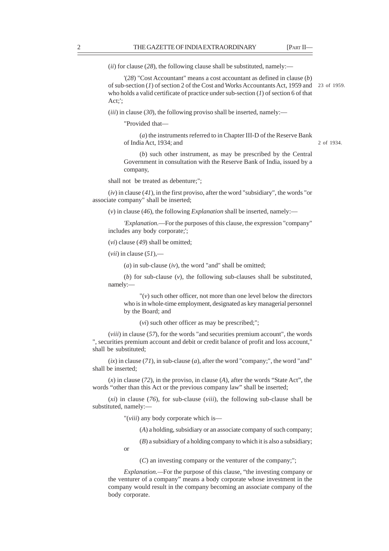(*ii*) for clause (*28*), the following clause shall be substituted, namely:—

'(*28*) "Cost Accountant" means a cost accountant as defined in clause (*b*) of sub-section (*1*) of section 2 of the Cost and Works Accountants Act, 1959 and 23 of 1959.who holds a valid certificate of practice under sub-section (*1*) of section 6 of that Act;';

(*iii*) in clause (*30*), the following proviso shall be inserted, namely:—

"Provided that—

(*a*) the instruments referred to in Chapter III-D of the Reserve Bank of India Act, 1934; and

2 of 1934.

(*b*) such other instrument, as may be prescribed by the Central Government in consultation with the Reserve Bank of India, issued by a company,

shall not be treated as debenture;";

(*iv*) in clause (*41*), in the first proviso, after the word "subsidiary", the words "or associate company" shall be inserted;

(*v*) in clause (*46*), the following *Explanation* shall be inserted, namely:—

*'Explanation.*—For the purposes of this clause, the expression "company" includes any body corporate;';

(*vi*) clause (*49*) shall be omitted;

(*vii*) in clause (*51*),—

or

(*a*) in sub-clause (*iv*), the word "and" shall be omitted;

(*b*) for sub-clause (*v*), the following sub-clauses shall be substituted, namely:—

"(*v*) such other officer, not more than one level below the directors who is in whole-time employment, designated as key managerial personnel by the Board; and

(*vi*) such other officer as may be prescribed;";

(*viii*) in clause (*57*), for the words "and securities premium account", the words ", securities premium account and debit or credit balance of profit and loss account," shall be substituted;

 $(ix)$  in clause  $(71)$ , in sub-clause  $(a)$ , after the word "company;", the word "and" shall be inserted;

(*x*) in clause (*72*), in the proviso, in clause (*A*), after the words "State Act", the words "other than this Act or the previous company law" shall be inserted;

(*xi*) in clause (*76*), for sub-clause (*viii*), the following sub-clause shall be substituted, namely:—

"(*viii*) any body corporate which is—

(*A*) a holding, subsidiary or an associate company of such company;

(*B*) a subsidiary of a holding company to which it is also a subsidiary;

(*C*) an investing company or the venturer of the company;";

*Explanation.—*For the purpose of this clause, "the investing company or the venturer of a company" means a body corporate whose investment in the company would result in the company becoming an associate company of the body corporate.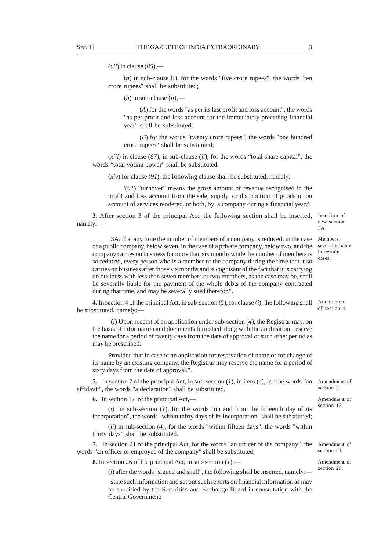(*xii*) in clause (*85*),—

(*a*) in sub-clause (*i*), for the words "five crore rupees", the words "ten crore rupees" shall be substituted;

(*b*) in sub-clause (*ii*),—

(*A*) for the words "as per its last profit and loss account", the words "as per profit and loss account for the immediately preceding financial year" shall be substituted;

(*B*) for the words "twenty crore rupees", the words "one hundred crore rupees" shall be substituted;

(*xiii*) in clause (*87*), in sub-clause (*ii*), for the words "total share capital", the words "total voting power" shall be substituted;

 $(xiv)$  for clause  $(91)$ , the following clause shall be substituted, namely:—

'(*91*) "turnover" means the gross amount of revenue recognised in the profit and loss account from the sale, supply, or distribution of goods or on account of services rendered, or both, by a company during a financial year;'.

**3.** After section 3 of the principal Act, the following section shall be inserted, Insertion of namely:—

"3A. If at any time the number of members of a company is reduced, in the case of a public company, below seven, in the case of a private company, below two, and the company carries on business for more than six months while the number of members is so reduced, every person who is a member of the company during the time that it so carries on business after those six months and is cognisant of the fact that it is carrying on business with less than seven members or two members, as the case may be, shall be severally liable for the payment of the whole debts of the company contracted during that time, and may be severally sued therefor.".

**4.** In section 4 of the principal Act, in sub-section (*5*), for clause (*i*)*,* the following shall be substituted, namely:— Amendment of section 4.

"(*i*) Upon receipt of an application under sub-section (*4*), the Registrar may, on the basis of information and documents furnished along with the application, reserve the name for a period of twenty days from the date of approval or such other period as may be prescribed:

Provided that in case of an application for reservation of name or for change of its name by an existing company, the Registrar may reserve the name for a period of sixty days from the date of approval.".

**5.** In section 7 of the principal Act, in sub-section (*1*), in item (*c*), for the words "an affidavit", the words "a declaration" shall be substituted. Amendment of section 7.

**6.** In section 12 of the principal Act,—

(*i*) in sub-section (*1*), for the words "on and from the fifteenth day of its incorporation", the words "within thirty days of its incorporation" shall be substituted;

(*ii*) in sub-section (*4*), for the words "within fifteen days", the words "within thirty days" shall be substituted.

**7.** In section 21 of the principal Act, for the words "an officer of the company", the words "an officer or employee of the company" shall be substituted.

**8.** In section 26 of the principal Act, in sub-section (*1*),—

(*i*) after the words "signed and shall", the following shall be inserted, namely:—

"state such information and set out such reports on financial information as may be specified by the Securities and Exchange Board in consultation with the Central Government:

new section 3A.

Members severally liable in certain cases.

Amendment of section 12.

Amendment of section 21

Amendment of section 26.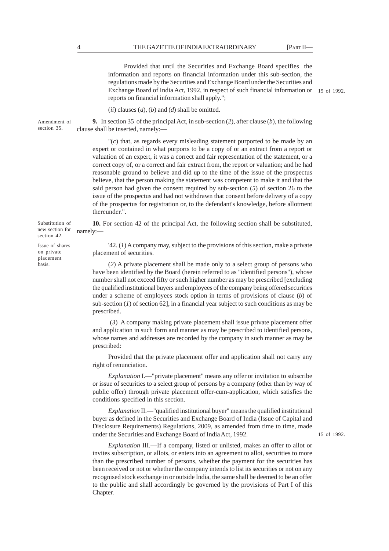Provided that until the Securities and Exchange Board specifies the information and reports on financial information under this sub-section, the regulations made by the Securities and Exchange Board under the Securities and Exchange Board of India Act, 1992, in respect of such financial information or 15 of 1992. reports on financial information shall apply.";

(*ii*) clauses (*a*), (*b*) and (*d*) shall be omitted.

**9.** In section 35 of the principal Act, in sub-section (*2*), after clause (*b*), the following clause shall be inserted, namely:— Amendment of

> "(*c*) that, as regards every misleading statement purported to be made by an expert or contained in what purports to be a copy of or an extract from a report or valuation of an expert, it was a correct and fair representation of the statement, or a correct copy of, or a correct and fair extract from, the report or valuation; and he had reasonable ground to believe and did up to the time of the issue of the prospectus believe, that the person making the statement was competent to make it and that the said person had given the consent required by sub-section (*5*) of section 26 to the issue of the prospectus and had not withdrawn that consent before delivery of a copy of the prospectus for registration or, to the defendant's knowledge, before allotment thereunder.".

**10.** For section 42 of the principal Act, the following section shall be substituted, namely:—

'42. (*1*) A company may, subject to the provisions of this section, make a private placement of securities.

(*2*) A private placement shall be made only to a select group of persons who have been identified by the Board (herein referred to as "identified persons"), whose number shall not exceed fifty or such higher number as may be prescribed [excluding the qualified institutional buyers and employees of the company being offered securities under a scheme of employees stock option in terms of provisions of clause (*b*) of sub-section  $(I)$  of section 62], in a financial year subject to such conditions as may be prescribed.

 (*3*) A company making private placement shall issue private placement offer and application in such form and manner as may be prescribed to identified persons, whose names and addresses are recorded by the company in such manner as may be prescribed:

Provided that the private placement offer and application shall not carry any right of renunciation.

*Explanation* I.—"private placement" means any offer or invitation to subscribe or issue of securities to a select group of persons by a company (other than by way of public offer) through private placement offer-cum-application, which satisfies the conditions specified in this section.

*Explanation* II.—"qualified institutional buyer" means the qualified institutional buyer as defined in the Securities and Exchange Board of India (Issue of Capital and Disclosure Requirements) Regulations, 2009, as amended from time to time, made under the Securities and Exchange Board of India Act, 1992.

*Explanation* III.—If a company, listed or unlisted, makes an offer to allot or invites subscription, or allots, or enters into an agreement to allot, securities to more than the prescribed number of persons, whether the payment for the securities has been received or not or whether the company intends to list its securities or not on any recognised stock exchange in or outside India, the same shall be deemed to be an offer to the public and shall accordingly be governed by the provisions of Part I of this Chapter.

Substitution of new section for section 42

section 35.

Issue of shares on private placement basis.

15 of 1992.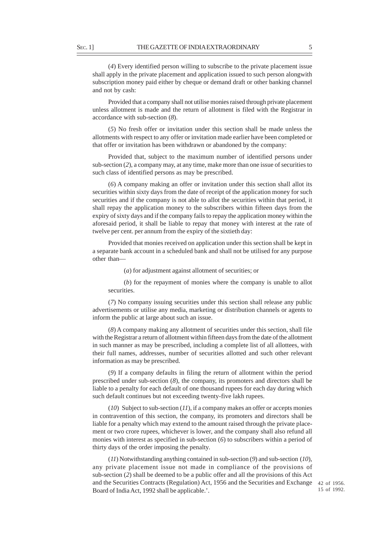(*4*) Every identified person willing to subscribe to the private placement issue shall apply in the private placement and application issued to such person alongwith subscription money paid either by cheque or demand draft or other banking channel and not by cash:

Provided that a company shall not utilise monies raised through private placement unless allotment is made and the return of allotment is filed with the Registrar in accordance with sub-section (*8*).

(*5*) No fresh offer or invitation under this section shall be made unless the allotments with respect to any offer or invitation made earlier have been completed or that offer or invitation has been withdrawn or abandoned by the company:

Provided that, subject to the maximum number of identified persons under sub-section (*2*), a company may, at any time, make more than one issue of securities to such class of identified persons as may be prescribed.

(*6*) A company making an offer or invitation under this section shall allot its securities within sixty days from the date of receipt of the application money for such securities and if the company is not able to allot the securities within that period, it shall repay the application money to the subscribers within fifteen days from the expiry of sixty days and if the company fails to repay the application money within the aforesaid period, it shall be liable to repay that money with interest at the rate of twelve per cent. per annum from the expiry of the sixtieth day:

Provided that monies received on application under this section shall be kept in a separate bank account in a scheduled bank and shall not be utilised for any purpose other than—

(*a*) for adjustment against allotment of securities; or

(*b*) for the repayment of monies where the company is unable to allot securities.

(*7*) No company issuing securities under this section shall release any public advertisements or utilise any media, marketing or distribution channels or agents to inform the public at large about such an issue.

(*8*) A company making any allotment of securities under this section, shall file with the Registrar a return of allotment within fifteen days from the date of the allotment in such manner as may be prescribed, including a complete list of all allottees, with their full names, addresses, number of securities allotted and such other relevant information as may be prescribed.

(*9*) If a company defaults in filing the return of allotment within the period prescribed under sub-section (*8*), the company, its promoters and directors shall be liable to a penalty for each default of one thousand rupees for each day during which such default continues but not exceeding twenty-five lakh rupees.

(*10*) Subject to sub-section (*11*), if a company makes an offer or accepts monies in contravention of this section, the company, its promoters and directors shall be liable for a penalty which may extend to the amount raised through the private placement or two crore rupees, whichever is lower, and the company shall also refund all monies with interest as specified in sub-section (*6*) to subscribers within a period of thirty days of the order imposing the penalty.

(*11*) Notwithstanding anything contained in sub-section (*9*) and sub-section (*10*), any private placement issue not made in compliance of the provisions of sub-section (*2*) shall be deemed to be a public offer and all the provisions of this Act and the Securities Contracts (Regulation) Act, 1956 and the Securities and Exchange 42 of 1956. Board of India Act, 1992 shall be applicable.'.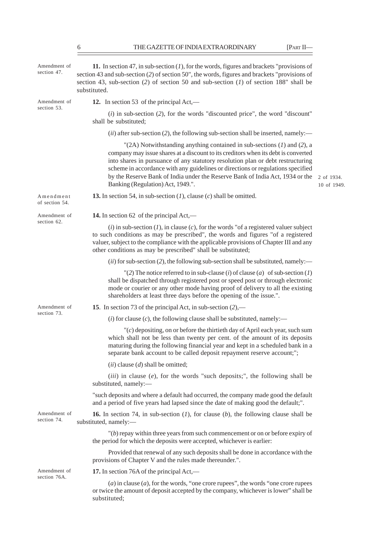| Amendment of<br>section 47.  | 11. In section 47, in sub-section $(I)$ , for the words, figures and brackets "provisions of<br>section 43 and sub-section $(2)$ of section 50", the words, figures and brackets "provisions of<br>section 43, sub-section (2) of section 50 and sub-section (1) of section 188" shall be<br>substituted.                                                                                                                                                      |                           |
|------------------------------|----------------------------------------------------------------------------------------------------------------------------------------------------------------------------------------------------------------------------------------------------------------------------------------------------------------------------------------------------------------------------------------------------------------------------------------------------------------|---------------------------|
| Amendment of<br>section 53.  | 12. In section 53 of the principal $Act$ ,—                                                                                                                                                                                                                                                                                                                                                                                                                    |                           |
|                              | $(i)$ in sub-section (2), for the words "discounted price", the word "discount"<br>shall be substituted;                                                                                                                                                                                                                                                                                                                                                       |                           |
|                              | $(ii)$ after sub-section (2), the following sub-section shall be inserted, namely:—                                                                                                                                                                                                                                                                                                                                                                            |                           |
|                              | "(2A) Notwithstanding anything contained in sub-sections $(1)$ and $(2)$ , a<br>company may issue shares at a discount to its creditors when its debt is converted<br>into shares in pursuance of any statutory resolution plan or debt restructuring<br>scheme in accordance with any guidelines or directions or regulations specified<br>by the Reserve Bank of India under the Reserve Bank of India Act, 1934 or the<br>Banking (Regulation) Act, 1949.". | 2 of 1934.<br>10 of 1949. |
| Amendment<br>of section 54.  | 13. In section 54, in sub-section $(I)$ , clause $(c)$ shall be omitted.                                                                                                                                                                                                                                                                                                                                                                                       |                           |
| Amendment of                 | 14. In section 62 of the principal $Act$ ,—                                                                                                                                                                                                                                                                                                                                                                                                                    |                           |
| section 62.                  | $(i)$ in sub-section $(I)$ , in clause $(c)$ , for the words "of a registered valuer subject<br>to such conditions as may be prescribed", the words and figures "of a registered<br>valuer, subject to the compliance with the applicable provisions of Chapter III and any<br>other conditions as may be prescribed" shall be substituted;                                                                                                                    |                           |
|                              | $(ii)$ for sub-section (2), the following sub-section shall be substituted, namely:—                                                                                                                                                                                                                                                                                                                                                                           |                           |
|                              | "(2) The notice referred to in sub-clause ( <i>i</i> ) of clause ( <i>a</i> ) of sub-section ( <i>l</i> )<br>shall be dispatched through registered post or speed post or through electronic<br>mode or courier or any other mode having proof of delivery to all the existing<br>shareholders at least three days before the opening of the issue.".                                                                                                          |                           |
| Amendment of                 | 15. In section 73 of the principal Act, in sub-section $(2)$ ,—                                                                                                                                                                                                                                                                                                                                                                                                |                           |
| section 73.                  | (i) for clause $(c)$ , the following clause shall be substituted, namely:—                                                                                                                                                                                                                                                                                                                                                                                     |                           |
|                              | $\prime\prime$ depositing, on or before the thirtieth day of April each year, such sum<br>which shall not be less than twenty per cent. of the amount of its deposits<br>maturing during the following financial year and kept in a scheduled bank in a<br>separate bank account to be called deposit repayment reserve account;";                                                                                                                             |                           |
|                              | $(ii)$ clause $(d)$ shall be omitted;                                                                                                                                                                                                                                                                                                                                                                                                                          |                           |
|                              | $(iii)$ in clause $(e)$ , for the words "such deposits;", the following shall be<br>substituted, namely:-                                                                                                                                                                                                                                                                                                                                                      |                           |
|                              | "such deposits and where a default had occurred, the company made good the default<br>and a period of five years had lapsed since the date of making good the default;".                                                                                                                                                                                                                                                                                       |                           |
| Amendment of<br>section 74.  | <b>16.</b> In section 74, in sub-section $(I)$ , for clause $(b)$ , the following clause shall be<br>substituted, namely:-                                                                                                                                                                                                                                                                                                                                     |                           |
|                              | $'(b)$ repay within three years from such commencement or on or before expiry of<br>the period for which the deposits were accepted, whichever is earlier:                                                                                                                                                                                                                                                                                                     |                           |
|                              | Provided that renewal of any such deposits shall be done in accordance with the<br>provisions of Chapter V and the rules made thereunder.".                                                                                                                                                                                                                                                                                                                    |                           |
| Amendment of<br>section 76A. | 17. In section 76A of the principal Act,—                                                                                                                                                                                                                                                                                                                                                                                                                      |                           |
|                              | $(a)$ in clause $(a)$ , for the words, "one crore rupees", the words "one crore rupees"<br>or twice the amount of deposit accepted by the company, whichever is lower" shall be<br>substituted;                                                                                                                                                                                                                                                                |                           |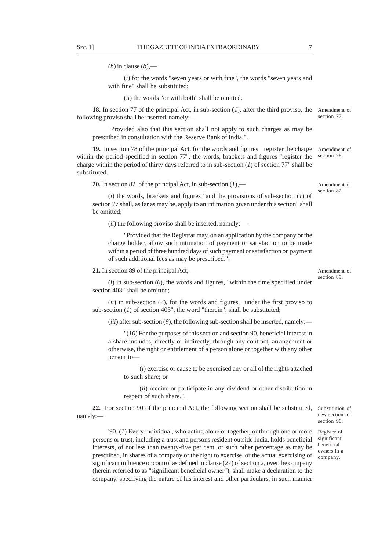(*b*) in clause (*b*),—

(*i*) for the words "seven years or with fine", the words "seven years and with fine" shall be substituted;

(*ii*) the words "or with both" shall be omitted.

**18.** In section 77 of the principal Act, in sub-section (*1*), after the third proviso, the following proviso shall be inserted, namely:— Amendment of section 77.

"Provided also that this section shall not apply to such charges as may be prescribed in consultation with the Reserve Bank of India.".

19. In section 78 of the principal Act, for the words and figures "register the charge Amendment of within the period specified in section 77", the words, brackets and figures "register the charge within the period of thirty days referred to in sub-section (*1*) of section 77" shall be substituted.

**20.** In section 82 of the principal Act, in sub-section (*1*),—

(*i*) the words, brackets and figures "and the provisions of sub-section (*1*) of section 77 shall, as far as may be, apply to an intimation given under this section" shall be omitted;

(*ii*) the following proviso shall be inserted, namely:—

"Provided that the Registrar may, on an application by the company or the charge holder, allow such intimation of payment or satisfaction to be made within a period of three hundred days of such payment or satisfaction on payment of such additional fees as may be prescribed.".

**21.** In section 89 of the principal Act,—

(*i*) in sub-section (*6*), the words and figures, "within the time specified under section 403" shall be omitted;

(*ii*) in sub-section (*7*), for the words and figures, "under the first proviso to sub-section (*1*) of section 403", the word "therein", shall be substituted;

(*iii*) after sub-section (*9*), the following sub-section shall be inserted, namely:—

"(*10*) For the purposes of this section and section 90, beneficial interest in a share includes, directly or indirectly, through any contract, arrangement or otherwise, the right or entitlement of a person alone or together with any other person to—

(*i*) exercise or cause to be exercised any or all of the rights attached to such share; or

(*ii*) receive or participate in any dividend or other distribution in respect of such share.".

22. For section 90 of the principal Act, the following section shall be substituted, Substitution of namely:—

'90. (*1*) Every individual, who acting alone or together, or through one or more persons or trust, including a trust and persons resident outside India, holds beneficial interests, of not less than twenty-five per cent. or such other percentage as may be prescribed, in shares of a company or the right to exercise, or the actual exercising of significant influence or control as defined in clause (*27*) of section 2, over the company (herein referred to as "significant beneficial owner"), shall make a declaration to the company, specifying the nature of his interest and other particulars, in such manner

new section for section 90.

Register of significant beneficial owners in a company.

section 78.

Amendment of section 82.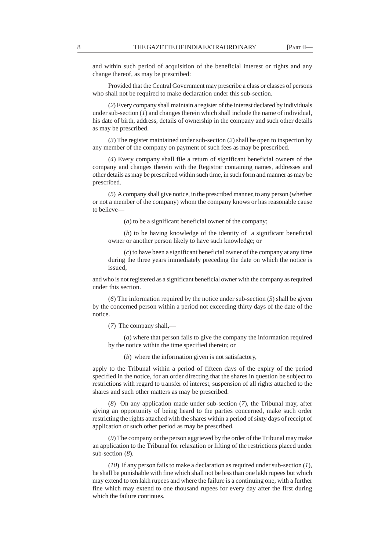and within such period of acquisition of the beneficial interest or rights and any change thereof, as may be prescribed:

Provided that the Central Government may prescribe a class or classes of persons who shall not be required to make declaration under this sub-section.

(*2*) Every company shall maintain a register of the interest declared by individuals under sub-section  $(I)$  and changes therein which shall include the name of individual, his date of birth, address, details of ownership in the company and such other details as may be prescribed.

(*3*) The register maintained under sub-section (*2*) shall be open to inspection by any member of the company on payment of such fees as may be prescribed.

(*4*) Every company shall file a return of significant beneficial owners of the company and changes therein with the Registrar containing names, addresses and other details as may be prescribed within such time, in such form and manner as may be prescribed.

(*5*) A company shall give notice, in the prescribed manner, to any person (whether or not a member of the company) whom the company knows or has reasonable cause to believe—

(*a*) to be a significant beneficial owner of the company;

(*b*) to be having knowledge of the identity of a significant beneficial owner or another person likely to have such knowledge; or

(*c*) to have been a significant beneficial owner of the company at any time during the three years immediately preceding the date on which the notice is issued,

and who is not registered as a significant beneficial owner with the company as required under this section.

(*6*) The information required by the notice under sub-section (*5*) shall be given by the concerned person within a period not exceeding thirty days of the date of the notice.

(*7*) The company shall,—

(*a*) where that person fails to give the company the information required by the notice within the time specified therein; or

(*b*) where the information given is not satisfactory,

apply to the Tribunal within a period of fifteen days of the expiry of the period specified in the notice, for an order directing that the shares in question be subject to restrictions with regard to transfer of interest, suspension of all rights attached to the shares and such other matters as may be prescribed.

(*8*) On any application made under sub-section (*7*), the Tribunal may, after giving an opportunity of being heard to the parties concerned, make such order restricting the rights attached with the shares within a period of sixty days of receipt of application or such other period as may be prescribed.

(*9*) The company or the person aggrieved by the order of the Tribunal may make an application to the Tribunal for relaxation or lifting of the restrictions placed under sub-section (*8*).

(*10*) If any person fails to make a declaration as required under sub-section (*1*), he shall be punishable with fine which shall not be less than one lakh rupees but which may extend to ten lakh rupees and where the failure is a continuing one, with a further fine which may extend to one thousand rupees for every day after the first during which the failure continues.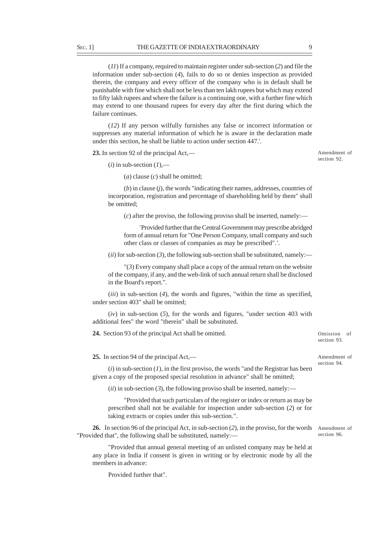(*11*) If a company, required to maintain register under sub-section (*2*) and file the information under sub-section (*4*), fails to do so or denies inspection as provided therein, the company and every officer of the company who is in default shall be punishable with fine which shall not be less than ten lakh rupees but which may extend to fifty lakh rupees and where the failure is a continuing one, with a further fine which may extend to one thousand rupees for every day after the first during which the failure continues.

(*12*) If any person wilfully furnishes any false or incorrect information or suppresses any material information of which he is aware in the declaration made under this section, he shall be liable to action under section 447.'.

**23.** In section 92 of the principal Act,—

Amendment of section 92.

 $(i)$  in sub-section  $(1)$ ,—

(*a*) clause (*c*) shall be omitted;

(*b*) in clause (*j*), the words "indicating their names, addresses, countries of incorporation, registration and percentage of shareholding held by them" shall be omitted;

(*c*) after the proviso, the following proviso shall be inserted, namely:—

'Provided further that the Central Government may prescribe abridged form of annual return for "One Person Company, small company and such other class or classes of companies as may be prescribed".'.

 $(iii)$  for sub-section  $(3)$ , the following sub-section shall be substituted, namely:—

"(*3*) Every company shall place a copy of the annual return on the website of the company, if any, and the web-link of such annual return shall be disclosed in the Board's report.".

(*iii*) in sub-section (*4*), the words and figures, "within the time as specified, under section 403" shall be omitted;

(*iv*) in sub-section (*5*), for the words and figures, "under section 403 with additional fees" the word "therein" shall be substituted.

**24.** Section 93 of the principal Act shall be omitted.

**25.** In section 94 of the principal Act,—

 $(i)$  in sub-section  $(I)$ , in the first proviso, the words "and the Registrar has been given a copy of the proposed special resolution in advance" shall be omitted;

 $(iii)$  in sub-section  $(3)$ , the following proviso shall be inserted, namely:—

"Provided that such particulars of the register or index or return as may be prescribed shall not be available for inspection under sub-section (*2*) or for taking extracts or copies under this sub-section.".

26. In section 96 of the principal Act, in sub-section (2), in the proviso, for the words Amendment of "Provided that", the following shall be substituted, namely:—

"Provided that annual general meeting of an unlisted company may be held at any place in India if consent is given in writing or by electronic mode by all the members in advance:

Provided further that".

Amendment of

Omission of section 93.

section 94.

section 96.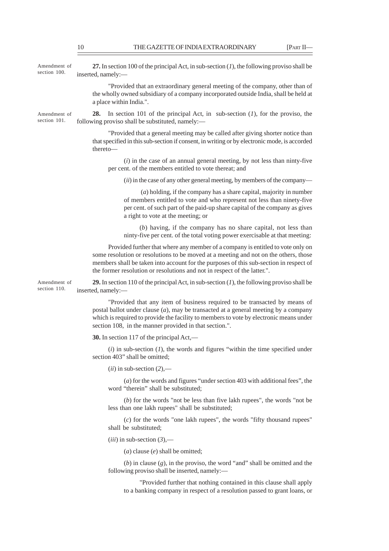Amendment of section 100.

section 101.

**27.** In section 100 of the principal Act, in sub-section (*1*), the following proviso shall be inserted, namely:—

"Provided that an extraordinary general meeting of the company, other than of the wholly owned subsidiary of a company incorporated outside India, shall be held at a place within India.".

**28.** In section 101 of the principal Act, in sub-section (*1*), for the proviso, the following proviso shall be substituted, namely:— Amendment of

> "Provided that a general meeting may be called after giving shorter notice than that specified in this sub-section if consent, in writing or by electronic mode, is accorded thereto—

(*i*) in the case of an annual general meeting, by not less than ninty-five per cent. of the members entitled to vote thereat; and

(*ii*) in the case of any other general meeting, by members of the company—

 (*a*) holding, if the company has a share capital, majority in number of members entitled to vote and who represent not less than ninety-five per cent. of such part of the paid-up share capital of the company as gives a right to vote at the meeting; or

(*b*) having, if the company has no share capital, not less than ninty-five per cent. of the total voting power exercisable at that meeting:

Provided further that where any member of a company is entitled to vote only on some resolution or resolutions to be moved at a meeting and not on the others, those members shall be taken into account for the purposes of this sub-section in respect of the former resolution or resolutions and not in respect of the latter.".

**29.** In section 110 of the principal Act, in sub-section (*1*), the following proviso shall be inserted, namely:— Amendment of section 110.

> "Provided that any item of business required to be transacted by means of postal ballot under clause (*a*), may be transacted at a general meeting by a company which is required to provide the facility to members to vote by electronic means under section 108, in the manner provided in that section.".

**30.** In section 117 of the principal Act,—

(*i*) in sub-section (*1*), the words and figures "within the time specified under section 403" shall be omitted;

 $(iii)$  in sub-section  $(2)$ ,—

(*a*) for the words and figures "under section 403 with additional fees", the word "therein" shall be substituted;

(*b*) for the words "not be less than five lakh rupees", the words "not be less than one lakh rupees" shall be substituted;

(*c*) for the words "one lakh rupees", the words "fifty thousand rupees" shall be substituted;

 $(iii)$  in sub-section  $(3)$ ,—

(*a*) clause (*e*) shall be omitted;

(*b*) in clause (*g*), in the proviso, the word "and" shall be omitted and the following proviso shall be inserted, namely:—

"Provided further that nothing contained in this clause shall apply to a banking company in respect of a resolution passed to grant loans, or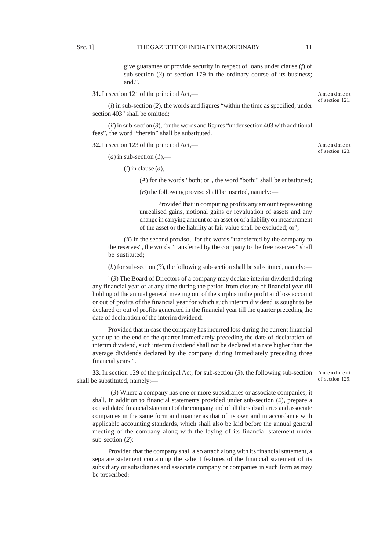give guarantee or provide security in respect of loans under clause (*f*) of sub-section (*3*) of section 179 in the ordinary course of its business; and.".

**31.** In section 121 of the principal Act,—

(*i*) in sub-section (*2*), the words and figures "within the time as specified, under section 403" shall be omitted;

(*ii*) in sub-section (*3*), for the words and figures "under section 403 with additional fees", the word "therein" shall be substituted.

**32.** In section 123 of the principal Act,—

(*a*) in sub-section (*1*),—

 $(i)$  in clause  $(a)$ ,—

(*A*) for the words "both; or", the word "both:" shall be substituted;

(*B*) the following proviso shall be inserted, namely:—

"Provided that in computing profits any amount representing unrealised gains, notional gains or revaluation of assets and any change in carrying amount of an asset or of a liability on measurement of the asset or the liability at fair value shall be excluded; or";

(*ii*) in the second proviso, for the words "transferred by the company to the reserves", the words "transferred by the company to the free reserves" shall be sustituted;

(*b*) for sub-section (*3*), the following sub-section shall be substituted, namely:—

"(*3*) The Board of Directors of a company may declare interim dividend during any financial year or at any time during the period from closure of financial year till holding of the annual general meeting out of the surplus in the profit and loss account or out of profits of the financial year for which such interim dividend is sought to be declared or out of profits generated in the financial year till the quarter preceding the date of declaration of the interim dividend:

Provided that in case the company has incurred loss during the current financial year up to the end of the quarter immediately preceding the date of declaration of interim dividend, such interim dividend shall not be declared at a rate higher than the average dividends declared by the company during immediately preceding three financial years.".

**33.** In section 129 of the principal Act, for sub-section (*3*), the following sub-section Amendment shall be substituted, namely:—

of section 129.

"(*3*) Where a company has one or more subsidiaries or associate companies, it shall, in addition to financial statements provided under sub-section (*2*), prepare a consolidated financial statement of the company and of all the subsidiaries and associate companies in the same form and manner as that of its own and in accordance with applicable accounting standards, which shall also be laid before the annual general meeting of the company along with the laying of its financial statement under sub-section (*2*):

Provided that the company shall also attach along with its financial statement, a separate statement containing the salient features of the financial statement of its subsidiary or subsidiaries and associate company or companies in such form as may be prescribed:

Amendment of section 123.

Amendment of section 121.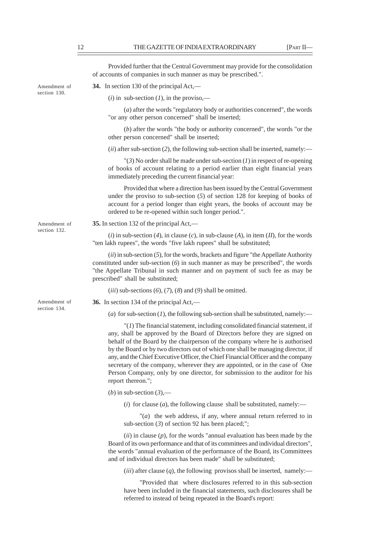Provided further that the Central Government may provide for the consolidation of accounts of companies in such manner as may be prescribed.".

**34.** In section 130 of the principal Act,—

 $(i)$  in sub-section  $(I)$ , in the proviso,—

(*a*) after the words "regulatory body or authorities concerned", the words "or any other person concerned" shall be inserted;

(*b*) after the words "the body or authority concerned", the words "or the other person concerned" shall be inserted;

(*ii*) after sub-section (*2*), the following sub-section shall be inserted, namely:—

"(*3*) No order shall be made under sub-section (*1*) in respect of re-opening of books of account relating to a period earlier than eight financial years immediately preceding the current financial year:

Provided that where a direction has been issued by the Central Government under the proviso to sub-section (*5*) of section 128 for keeping of books of account for a period longer than eight years, the books of account may be ordered to be re-opened within such longer period.".

**35.** In section 132 of the principal Act,—

 $(i)$  in sub-section  $(4)$ , in clause  $(c)$ , in sub-clause  $(A)$ , in item  $(II)$ , for the words "ten lakh rupees", the words "five lakh rupees" shall be substituted;

(*ii*) in sub-section (*5*), for the words, brackets and figure "the Appellate Authority constituted under sub-section (*6*) in such manner as may be prescribed", the words "the Appellate Tribunal in such manner and on payment of such fee as may be prescribed" shall be substituted;

(*iii*) sub-sections  $(6)$ ,  $(7)$ ,  $(8)$  and  $(9)$  shall be omitted.

**36.** In section 134 of the principal Act,—

(*a*) for sub-section (*1*), the following sub-section shall be substituted, namely:—

"(*1*) The financial statement, including consolidated financial statement, if any, shall be approved by the Board of Directors before they are signed on behalf of the Board by the chairperson of the company where he is authorised by the Board or by two directors out of which one shall be managing director, if any, and the Chief Executive Officer, the Chief Financial Officer and the company secretary of the company, wherever they are appointed, or in the case of One Person Company, only by one director, for submission to the auditor for his report thereon.";

(*b*) in sub-section  $(3)$ ,—

(*i*) for clause (*a*), the following clause shall be substituted, namely:—

"(*a*) the web address, if any, where annual return referred to in sub-section (3) of section 92 has been placed;";

(*ii*) in clause (*p*), for the words "annual evaluation has been made by the Board of its own performance and that of its committees and individual directors", the words "annual evaluation of the performance of the Board, its Committees and of individual directors has been made" shall be substituted;

 $(iii)$  after clause  $(q)$ , the following provisos shall be inserted, namely:—

"Provided that where disclosures referred to in this sub-section have been included in the financial statements, such disclosures shall be referred to instead of being repeated in the Board's report:

Amendment of

Amendment of section 130.

section 132.

Amendment of section 134.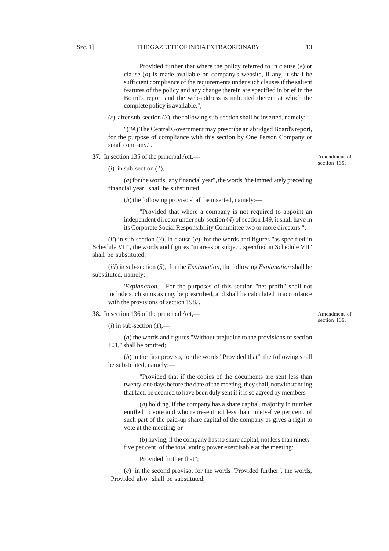Provided further that where the policy referred to in clause (*e*) or clause (*o*) is made available on company's website, if any, it shall be sufficient compliance of the requirements under such clauses if the salient features of the policy and any change therein are specified in brief in the Board's report and the web-address is indicated therein at which the complete policy is available.";

(*c*) after sub-section (3), the following sub-section shall be inserted, namely:—

"(*3A*) The Central Government may prescribe an abridged Board's report, for the purpose of compliance with this section by One Person Company or small company.".

**37.** In section 135 of the principal Act,—

 $(i)$  in sub-section  $(I)$ ,—

Amendment of section 135.

(*a*) for the words "any financial year", the words "the immediately preceding financial year" shall be substituted;

(*b*) the following proviso shall be inserted, namely:—

"Provided that where a company is not required to appoint an independent director under sub-section (*4*) of section 149, it shall have in its Corporate Social Responsibility Committee two or more directors.";

(*ii*) in sub-section (*3*), in clause (*a*), for the words and figures "as specified in Schedule VII", the words and figures "in areas or subject, specified in Schedule VII" shall be substituted;

(*iii*) in sub-section (*5*), for the *Explanation*, the following *Explanation* shall be substituted, namely:—

'*Explanation*.—For the purposes of this section "net profit" shall not include such sums as may be prescribed, and shall be calculated in accordance with the provisions of section 198.'.

**38.** In section 136 of the principal Act,—

Amendment of section 136.

 $(i)$  in sub-section  $(I)$ ,—

(*a*) the words and figures "Without prejudice to the provisions of section 101," shall be omitted;

(*b*) in the first proviso, for the words "Provided that", the following shall be substituted, namely:—

"Provided that if the copies of the documents are sent less than twenty-one days before the date of the meeting, they shall, notwithstanding that fact, be deemed to have been duly sent if it is so agreed by members—

(*a*) holding, if the company has a share capital, majority in number entitled to vote and who represent not less than ninety-five per cent. of such part of the paid-up share capital of the company as gives a right to vote at the meeting; or

(*b*) having, if the company has no share capital, not less than ninetyfive per cent. of the total voting power exercisable at the meeting:

Provided further that";

(*c*) in the second proviso, for the words "Provided further", the words, "Provided also" shall be substituted;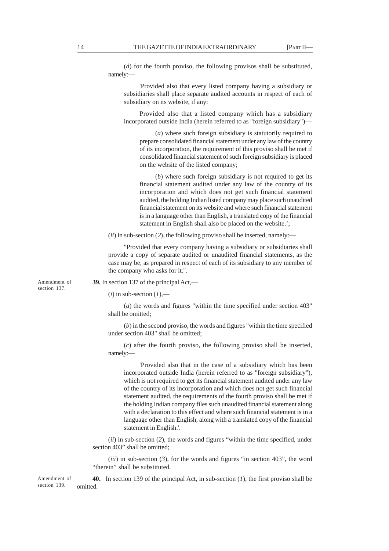(*d*) for the fourth proviso, the following provisos shall be substituted, namely:—

'Provided also that every listed company having a subsidiary or subsidiaries shall place separate audited accounts in respect of each of subsidiary on its website, if any:

Provided also that a listed company which has a subsidiary incorporated outside India (herein referred to as "foreign subsidiary")—

(*a*) where such foreign subsidiary is statutorily required to prepare consolidated financial statement under any law of the country of its incorporation, the requirement of this proviso shall be met if consolidated financial statement of such foreign subsidiary is placed on the website of the listed company;

(*b*) where such foreign subsidiary is not required to get its financial statement audited under any law of the country of its incorporation and which does not get such financial statement audited, the holding Indian listed company may place such unaudited financial statement on its website and where such financial statement is in a language other than English, a translated copy of the financial statement in English shall also be placed on the website.';

(*ii*) in sub-section (*2*), the following proviso shall be inserted, namely:—

"Provided that every company having a subsidiary or subsidiaries shall provide a copy of separate audited or unaudited financial statements, as the case may be, as prepared in respect of each of its subsidiary to any member of the company who asks for it.".

**39.** In section 137 of the principal Act,—

 $(i)$  in sub-section  $(1)$ ,—

(*a*) the words and figures "within the time specified under section 403" shall be omitted;

(*b*) in the second proviso, the words and figures "within the time specified under section 403" shall be omitted;

(*c*) after the fourth proviso, the following proviso shall be inserted, namely:—

'Provided also that in the case of a subsidiary which has been incorporated outside India (herein referred to as "foreign subsidiary"), which is not required to get its financial statement audited under any law of the country of its incorporation and which does not get such financial statement audited, the requirements of the fourth proviso shall be met if the holding Indian company files such unaudited financial statement along with a declaration to this effect and where such financial statement is in a language other than English, along with a translated copy of the financial statement in English.'.

(*ii*) in sub-section (*2*), the words and figures "within the time specified, under section 403" shall be omitted;

(*iii*) in sub-section (*3*), for the words and figures "in section 403", the word "therein" shall be substituted.

**40.** In section 139 of the principal Act, in sub-section (*1*), the first proviso shall be omitted.

Amendment of section 137.

Amendment of section 139.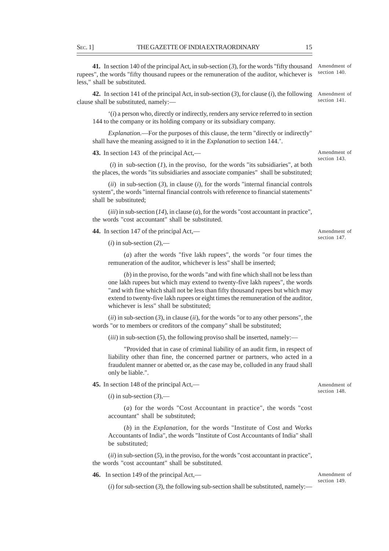**41.** In section 140 of the principal Act, in sub-section (*3*), for the words "fifty thousand rupees", the words "fifty thousand rupees or the remuneration of the auditor, whichever is less," shall be substituted. Amendment of section 140.

**42.** In section 141 of the principal Act, in sub-section (*3*), for clause (*i*), the following clause shall be substituted, namely:—

'(*i*) a person who, directly or indirectly, renders any service referred to in section 144 to the company or its holding company or its subsidiary company.

*Explanation.*—For the purposes of this clause, the term "directly or indirectly" shall have the meaning assigned to it in the *Explanation* to section 144.'.

**43.** In section 143 of the principal Act,—

 (*i*) in sub-section (*1*), in the proviso, for the words "its subsidiaries", at both the places, the words "its subsidiaries and associate companies" shall be substituted;

(*ii*) in sub-section (*3*), in clause (*i*), for the words "internal financial controls system", the words "internal financial controls with reference to financial statements" shall be substituted;

(*iii*) in sub-section (*14*), in clause (*a*), for the words "cost accountant in practice", the words "cost accountant" shall be substituted.

**44.** In section 147 of the principal Act,—

 $(i)$  in sub-section  $(2)$ ,—

(*a*) after the words "five lakh rupees", the words "or four times the remuneration of the auditor, whichever is less" shall be inserted;

(*b*) in the proviso, for the words "and with fine which shall not be less than one lakh rupees but which may extend to twenty-five lakh rupees", the words "and with fine which shall not be less than fifty thousand rupees but which may extend to twenty-five lakh rupees or eight times the remuneration of the auditor, whichever is less" shall be substituted;

(*ii*) in sub-section (*3*), in clause (*ii*), for the words "or to any other persons", the words "or to members or creditors of the company" shall be substituted;

(*iii*) in sub-section (*5*), the following proviso shall be inserted, namely:—

"Provided that in case of criminal liability of an audit firm, in respect of liability other than fine, the concerned partner or partners, who acted in a fraudulent manner or abetted or, as the case may be, colluded in any fraud shall only be liable.".

**45.** In section 148 of the principal Act,—

 $(i)$  in sub-section  $(3)$ ,—

(*a*) for the words "Cost Accountant in practice", the words "cost accountant" shall be substituted;

(*b*) in the *Explanation*, for the words "Institute of Cost and Works Accountants of India", the words "Institute of Cost Accountants of India" shall be substituted;

(*ii*) in sub-section (*5*), in the proviso, for the words "cost accountant in practice", the words "cost accountant" shall be substituted.

**46.** In section 149 of the principal Act,—

Amendment of section 149.

 $(i)$  for sub-section  $(3)$ , the following sub-section shall be substituted, namely:—

Amendment of section 147.

Amendment of section 141.

Amendment of section 143

Amendment of section 148.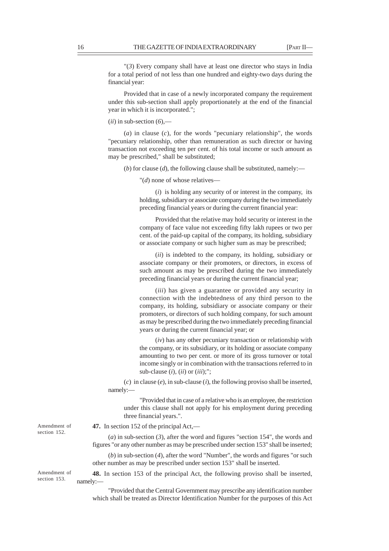"(*3*) Every company shall have at least one director who stays in India for a total period of not less than one hundred and eighty-two days during the financial year:

Provided that in case of a newly incorporated company the requirement under this sub-section shall apply proportionately at the end of the financial year in which it is incorporated.";

 $(iii)$  in sub-section  $(6)$ ,—

(*a*) in clause (*c*), for the words "pecuniary relationship", the words "pecuniary relationship, other than remuneration as such director or having transaction not exceeding ten per cent. of his total income or such amount as may be prescribed," shall be substituted;

(*b*) for clause (*d*), the following clause shall be substituted, namely:—

"(*d*) none of whose relatives—

(*i*) is holding any security of or interest in the company, its holding, subsidiary or associate company during the two immediately preceding financial years or during the current financial year:

Provided that the relative may hold security or interest in the company of face value not exceeding fifty lakh rupees or two per cent. of the paid-up capital of the company, its holding, subsidiary or associate company or such higher sum as may be prescribed;

(*ii*) is indebted to the company, its holding, subsidiary or associate company or their promoters, or directors, in excess of such amount as may be prescribed during the two immediately preceding financial years or during the current financial year;

(*iii*) has given a guarantee or provided any security in connection with the indebtedness of any third person to the company, its holding, subsidiary or associate company or their promoters, or directors of such holding company, for such amount as may be prescribed during the two immediately preceding financial years or during the current financial year; or

(*iv*) has any other pecuniary transaction or relationship with the company, or its subsidiary, or its holding or associate company amounting to two per cent. or more of its gross turnover or total income singly or in combination with the transactions referred to in sub-clause (*i*), (*ii*) or (*iii*);";

(*c*) in clause (*e*), in sub-clause (*i*), the following proviso shall be inserted, namely:—

"Provided that in case of a relative who is an employee, the restriction under this clause shall not apply for his employment during preceding three financial years.".

**47.** In section 152 of the principal Act,—

(*a*) in sub-section (*3*), after the word and figures "section 154", the words and figures "or any other number as may be prescribed under section 153" shall be inserted;

(*b*) in sub-section (*4*), after the word "Number", the words and figures "or such other number as may be prescribed under section 153" shall be inserted.

**48.** In section 153 of the principal Act, the following proviso shall be inserted, namely:—

"Provided that the Central Government may prescribe any identification number which shall be treated as Director Identification Number for the purposes of this Act

Amendment of section 152.

Amendment of section 153.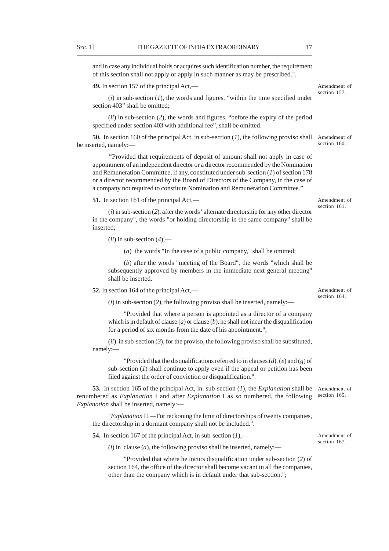and in case any individual holds or acquires such identification number, the requirement of this section shall not apply or apply in such manner as may be prescribed.".

**49.** In section 157 of the principal Act,—

 $(i)$  in sub-section  $(I)$ , the words and figures, "within the time specified under section 403" shall be omitted;

(*ii*) in sub-section (*2*), the words and figures, "before the expiry of the period specified under section 403 with additional fee", shall be omitted.

**50.** In section 160 of the principal Act, in sub-section (*1*), the following proviso shall be inserted, namely:— Amendment of section 160.

''Provided that requirements of deposit of amount shall not apply in case of appointment of an independent director or a director recommended by the Nomination and Remuneration Committee, if any, constituted under sub-section (*1*) of section 178 or a director recommended by the Board of Directors of the Company, in the case of a company not required to constitute Nomination and Remuneration Committee.".

**51.** In section 161 of the principal Act,—

(*i*) in sub-section (*2*), after the words "alternate directorship for any other director in the company", the words "or holding directorship in the same company" shall be section 161

 $(iii)$  in sub-section  $(4)$ ,—

inserted;

(*a*) the words "In the case of a public company," shall be omitted;

(*b*) after the words "meeting of the Board", the words "which shall be subsequently approved by members in the immediate next general meeting" shall be inserted.

**52.** In section 164 of the principal Act,—

(*i*) in sub-section (*2*), the following proviso shall be inserted, namely:—

"Provided that where a person is appointed as a director of a company which is in default of clause (*a*) or clause (*b*), he shall not incur the disqualification for a period of six months from the date of his appointment.";

(*ii*) in sub-section (*3*), for the proviso, the following proviso shall be substituted, namely:—

"Provided that the disqualifications referred to in clauses (*d*), (*e*) and (*g*) of sub-section  $(I)$  shall continue to apply even if the appeal or petition has been filed against the order of conviction or disqualification.".

**53.** In section 165 of the principal Act, in sub-section (*1*), the *Explanation* shall be Amendment of renumbered as *Explanation* I and after *Explanation* I as so numbered, the following section 165. *Explanation* shall be inserted, namely:—

"*Explanation* II.—For reckoning the limit of directorships of twenty companies, the directorship in a dormant company shall not be included.".

**54.** In section 167 of the principal Act, in sub-section (*1*),—

 $(i)$  in clause  $(a)$ , the following proviso shall be inserted, namely:—

"Provided that where he incurs disqualification under sub-section (*2*) of section 164, the office of the director shall become vacant in all the companies, other than the company which is in default under that sub-section.";

Amendment of section 167.

Amendment of

Amendment of section 157.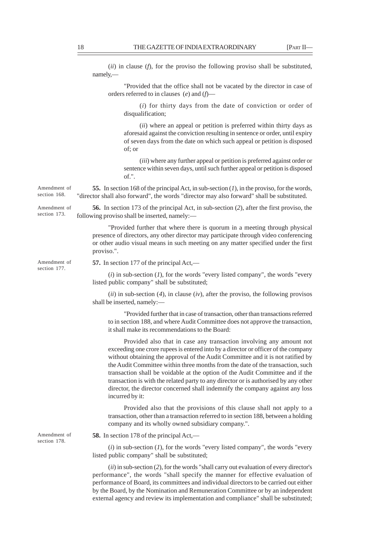|                              | $(ii)$ in clause $(f)$ , for the proviso the following proviso shall be substituted,<br>namely,                                                                                                                                                                                                                                                                                                                                                                                                                                                                                                            |
|------------------------------|------------------------------------------------------------------------------------------------------------------------------------------------------------------------------------------------------------------------------------------------------------------------------------------------------------------------------------------------------------------------------------------------------------------------------------------------------------------------------------------------------------------------------------------------------------------------------------------------------------|
|                              | "Provided that the office shall not be vacated by the director in case of<br>orders referred to in clauses (e) and $(f)$ —                                                                                                                                                                                                                                                                                                                                                                                                                                                                                 |
|                              | $(i)$ for thirty days from the date of conviction or order of<br>disqualification;                                                                                                                                                                                                                                                                                                                                                                                                                                                                                                                         |
|                              | (ii) where an appeal or petition is preferred within thirty days as<br>aforesaid against the conviction resulting in sentence or order, until expiry<br>of seven days from the date on which such appeal or petition is disposed<br>of; or                                                                                                                                                                                                                                                                                                                                                                 |
|                              | (iii) where any further appeal or petition is preferred against order or<br>sentence within seven days, until such further appeal or petition is disposed<br>of.".                                                                                                                                                                                                                                                                                                                                                                                                                                         |
| Amendment of<br>section 168. | 55. In section 168 of the principal Act, in sub-section $(I)$ , in the proviso, for the words,<br>"director shall also forward", the words "director may also forward" shall be substituted.                                                                                                                                                                                                                                                                                                                                                                                                               |
| Amendment of<br>section 173. | <b>56.</b> In section 173 of the principal Act, in sub-section (2), after the first proviso, the<br>following proviso shall be inserted, namely:-                                                                                                                                                                                                                                                                                                                                                                                                                                                          |
|                              | "Provided further that where there is quorum in a meeting through physical<br>presence of directors, any other director may participate through video conferencing<br>or other audio visual means in such meeting on any matter specified under the first<br>proviso.".                                                                                                                                                                                                                                                                                                                                    |
| Amendment of<br>section 177. | <b>57.</b> In section 177 of the principal Act,—                                                                                                                                                                                                                                                                                                                                                                                                                                                                                                                                                           |
|                              | $(i)$ in sub-section $(I)$ , for the words "every listed company", the words "every<br>listed public company" shall be substituted;                                                                                                                                                                                                                                                                                                                                                                                                                                                                        |
|                              | (ii) in sub-section (4), in clause (iv), after the proviso, the following provisos<br>shall be inserted, namely:-                                                                                                                                                                                                                                                                                                                                                                                                                                                                                          |
|                              | "Provided further that in case of transaction, other than transactions referred<br>to in section 188, and where Audit Committee does not approve the transaction,<br>it shall make its recommendations to the Board:                                                                                                                                                                                                                                                                                                                                                                                       |
|                              | Provided also that in case any transaction involving any amount not<br>exceeding one crore rupees is entered into by a director or officer of the company<br>without obtaining the approval of the Audit Committee and it is not ratified by<br>the Audit Committee within three months from the date of the transaction, such<br>transaction shall be voidable at the option of the Audit Committee and if the<br>transaction is with the related party to any director or is authorised by any other<br>director, the director concerned shall indemnify the company against any loss<br>incurred by it: |
|                              | Provided also that the provisions of this clause shall not apply to a<br>transaction, other than a transaction referred to in section 188, between a holding<br>company and its wholly owned subsidiary company.".                                                                                                                                                                                                                                                                                                                                                                                         |
| Amendment of<br>section 178. | <b>58.</b> In section 178 of the principal Act,—                                                                                                                                                                                                                                                                                                                                                                                                                                                                                                                                                           |
|                              | $(i)$ in sub-section $(I)$ , for the words "every listed company", the words "every<br>listed public company" shall be substituted;                                                                                                                                                                                                                                                                                                                                                                                                                                                                        |
|                              | $(ii)$ in sub-section (2), for the words "shall carry out evaluation of every director's<br>performance", the words "shall specify the manner for effective evaluation of<br>performance of Board, its committees and individual directors to be carried out either<br>by the Board, by the Nomination and Remuneration Committee or by an independent                                                                                                                                                                                                                                                     |

external agency and review its implementation and compliance" shall be substituted;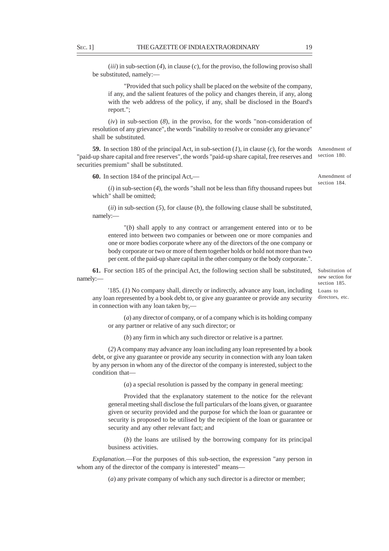(*iii*) in sub-section (*4*), in clause (*c*), for the proviso, the following proviso shall be substituted, namely:—

"Provided that such policy shall be placed on the website of the company, if any, and the salient features of the policy and changes therein, if any, along with the web address of the policy, if any, shall be disclosed in the Board's report.";

(*iv*) in sub-section (*8*), in the proviso, for the words "non-consideration of resolution of any grievance", the words "inability to resolve or consider any grievance" shall be substituted.

**59.** In section 180 of the principal Act, in sub-section (*1*), in clause (*c*), for the words Amendment of "paid-up share capital and free reserves", the words "paid-up share capital, free reserves and securities premium" shall be substituted. section 180.

**60.** In section 184 of the principal Act,—

Amendment of section 184.

new section for section 185.

(*i*) in sub-section (*4*), the words "shall not be less than fifty thousand rupees but which" shall be omitted;

(*ii*) in sub-section (*5*), for clause (*b*), the following clause shall be substituted, namely:—

"(*b*) shall apply to any contract or arrangement entered into or to be entered into between two companies or between one or more companies and one or more bodies corporate where any of the directors of the one company or body corporate or two or more of them together holds or hold not more than two per cent. of the paid-up share capital in the other company or the body corporate.".

**61.** For section 185 of the principal Act, the following section shall be substituted, Substitution of namely:—

'185. (*1*) No company shall, directly or indirectly, advance any loan, including Loans to any loan represented by a book debt to, or give any guarantee or provide any security in connection with any loan taken by, directors, etc.

(*a*) any director of company, or of a company which is its holding company or any partner or relative of any such director; or

(*b*) any firm in which any such director or relative is a partner.

(*2*) A company may advance any loan including any loan represented by a book debt, or give any guarantee or provide any security in connection with any loan taken by any person in whom any of the director of the company is interested, subject to the condition that—

(*a*) a special resolution is passed by the company in general meeting:

Provided that the explanatory statement to the notice for the relevant general meeting shall disclose the full particulars of the loans given, or guarantee given or security provided and the purpose for which the loan or guarantee or security is proposed to be utilised by the recipient of the loan or guarantee or security and any other relevant fact; and

(*b*) the loans are utilised by the borrowing company for its principal business activities.

*Explanation.*—For the purposes of this sub-section, the expression "any person in whom any of the director of the company is interested" means—

(*a*) any private company of which any such director is a director or member;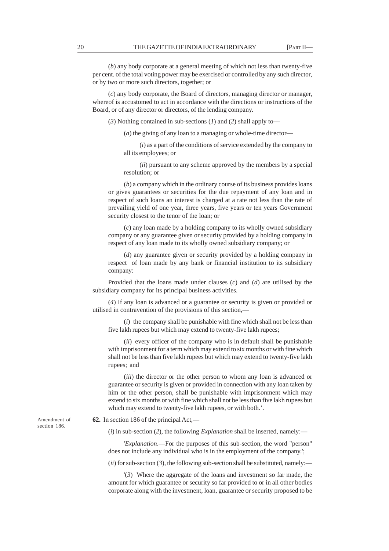(*b*) any body corporate at a general meeting of which not less than twenty-five per cent. of the total voting power may be exercised or controlled by any such director, or by two or more such directors, together; or

(*c*) any body corporate, the Board of directors, managing director or manager, whereof is accustomed to act in accordance with the directions or instructions of the Board, or of any director or directors, of the lending company.

(*3*) Nothing contained in sub-sections (*1*) and (*2*) shall apply to—

(*a*) the giving of any loan to a managing or whole-time director—

(*i*) as a part of the conditions of service extended by the company to all its employees; or

(*ii*) pursuant to any scheme approved by the members by a special resolution; or

(*b*) a company which in the ordinary course of its business provides loans or gives guarantees or securities for the due repayment of any loan and in respect of such loans an interest is charged at a rate not less than the rate of prevailing yield of one year, three years, five years or ten years Government security closest to the tenor of the loan; or

(*c*) any loan made by a holding company to its wholly owned subsidiary company or any guarantee given or security provided by a holding company in respect of any loan made to its wholly owned subsidiary company; or

(*d*) any guarantee given or security provided by a holding company in respect of loan made by any bank or financial institution to its subsidiary company:

Provided that the loans made under clauses (*c*) and (*d*) are utilised by the subsidiary company for its principal business activities.

(*4*) If any loan is advanced or a guarantee or security is given or provided or utilised in contravention of the provisions of this section,—

(*i*) the company shall be punishable with fine which shall not be less than five lakh rupees but which may extend to twenty-five lakh rupees;

(*ii*) every officer of the company who is in default shall be punishable with imprisonment for a term which may extend to six months or with fine which shall not be less than five lakh rupees but which may extend to twenty-five lakh rupees; and

(*iii*) the director or the other person to whom any loan is advanced or guarantee or security is given or provided in connection with any loan taken by him or the other person, shall be punishable with imprisonment which may extend to six months or with fine which shall not be less than five lakh rupees but which may extend to twenty-five lakh rupees, or with both.'.

**62.** In section 186 of the principal Act,—

(*i*) in sub-section (*2*), the following *Explanation* shall be inserted, namely:—

'*Explanation*.—For the purposes of this sub-section, the word "person" does not include any individual who is in the employment of the company.';

 $(iii)$  for sub-section  $(3)$ , the following sub-section shall be substituted, namely:—

'(*3*) Where the aggregate of the loans and investment so far made, the amount for which guarantee or security so far provided to or in all other bodies corporate along with the investment, loan, guarantee or security proposed to be

Amendment of section 186.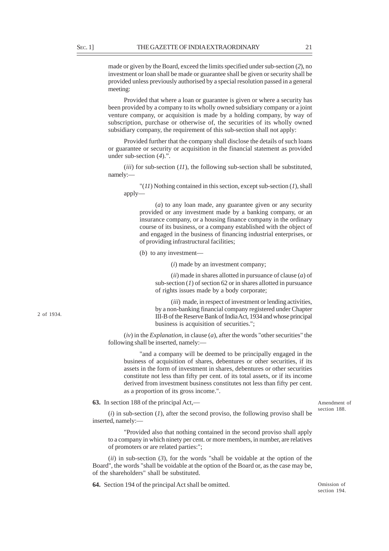made or given by the Board, exceed the limits specified under sub-section (*2*), no investment or loan shall be made or guarantee shall be given or security shall be provided unless previously authorised by a special resolution passed in a general meeting:

Provided that where a loan or guarantee is given or where a security has been provided by a company to its wholly owned subsidiary company or a joint venture company, or acquisition is made by a holding company, by way of subscription, purchase or otherwise of, the securities of its wholly owned subsidiary company, the requirement of this sub-section shall not apply:

Provided further that the company shall disclose the details of such loans or guarantee or security or acquisition in the financial statement as provided under sub-section (*4*).".

(*iii*) for sub-section (*11*), the following sub-section shall be substituted, namely:—

"(*11*) Nothing contained in this section, except sub-section (*1*), shall apply—

(*a*) to any loan made, any guarantee given or any security provided or any investment made by a banking company, or an insurance company, or a housing finance company in the ordinary course of its business, or a company established with the object of and engaged in the business of financing industrial enterprises, or of providing infrastructural facilities;

(*b*) to any investment—

(*i*) made by an investment company;

(*ii*) made in shares allotted in pursuance of clause (*a*) of sub-section (*1*) of section 62 or in shares allotted in pursuance of rights issues made by a body corporate;

(*iii*) made, in respect of investment or lending activities, by a non-banking financial company registered under Chapter III-B of the Reserve Bank of India Act, 1934 and whose principal business is acquisition of securities.";

(*iv*) in the *Explanation*, in clause (*a*), after the words "other securities" the following shall be inserted, namely:—

"and a company will be deemed to be principally engaged in the business of acquisition of shares, debentures or other securities, if its assets in the form of investment in shares, debentures or other securities constitute not less than fifty per cent. of its total assets, or if its income derived from investment business constitutes not less than fifty per cent. as a proportion of its gross income.".

**63.** In section 188 of the principal Act,—

(*i*) in sub-section (*1*), after the second proviso, the following proviso shall be inserted, namely:—

"Provided also that nothing contained in the second proviso shall apply to a company in which ninety per cent. or more members, in number, are relatives of promoters or are related parties:";

(*ii*) in sub-section (*3*), for the words "shall be voidable at the option of the Board", the words "shall be voidable at the option of the Board or, as the case may be, of the shareholders" shall be substituted.

**64.** Section 194 of the principal Act shall be omitted.

Amendment of section 188.

2 of 1934.

Omission of section 194.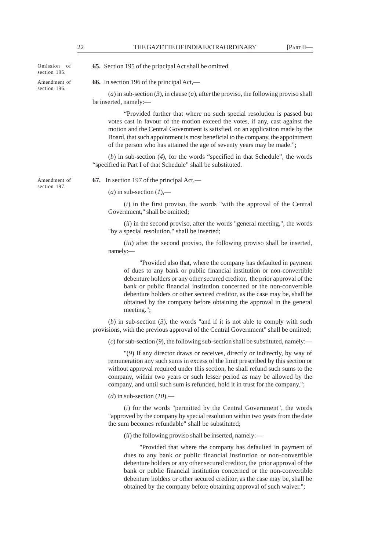Omission of section 195. Amendment of

section 196.

**66.** In section 196 of the principal Act,—

**65.** Section 195 of the principal Act shall be omitted.

(*a*) in sub-section (*3*), in clause (*a*), after the proviso, the following proviso shall be inserted, namely:-

"Provided further that where no such special resolution is passed but votes cast in favour of the motion exceed the votes, if any, cast against the motion and the Central Government is satisfied, on an application made by the Board, that such appointment is most beneficial to the company, the appointment of the person who has attained the age of seventy years may be made.";

(*b*) in sub-section (*4*), for the words "specified in that Schedule", the words "specified in Part I of that Schedule" shall be substituted.

Amendment of section 197.

**67.** In section 197 of the principal Act,—

 $(a)$  in sub-section  $(1)$ ,—

(*i*) in the first proviso, the words "with the approval of the Central Government," shall be omitted;

(*ii*) in the second proviso, after the words "general meeting,", the words "by a special resolution," shall be inserted;

(*iii*) after the second proviso, the following proviso shall be inserted, namely:—

"Provided also that, where the company has defaulted in payment of dues to any bank or public financial institution or non-convertible debenture holders or any other secured creditor, the prior approval of the bank or public financial institution concerned or the non-convertible debenture holders or other secured creditor, as the case may be, shall be obtained by the company before obtaining the approval in the general meeting.";

(*b*) in sub-section (*3*), the words "and if it is not able to comply with such provisions, with the previous approval of the Central Government" shall be omitted;

(*c*) for sub-section (*9*), the following sub-section shall be substituted, namely:—

"(*9*) If any director draws or receives, directly or indirectly, by way of remuneration any such sums in excess of the limit prescribed by this section or without approval required under this section, he shall refund such sums to the company, within two years or such lesser period as may be allowed by the company, and until such sum is refunded, hold it in trust for the company.";

(*d*) in sub-section (*10*),—

(*i*) for the words "permitted by the Central Government", the words "approved by the company by special resolution within two years from the date the sum becomes refundable" shall be substituted;

(*ii*) the following proviso shall be inserted, namely:—

"Provided that where the company has defaulted in payment of dues to any bank or public financial institution or non-convertible debenture holders or any other secured creditor, the prior approval of the bank or public financial institution concerned or the non-convertible debenture holders or other secured creditor, as the case may be, shall be obtained by the company before obtaining approval of such waiver.";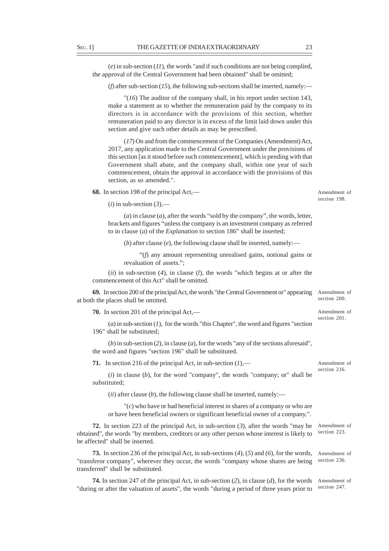(*e*) in sub-section (*11*), the words "and if such conditions are not being complied, the approval of the Central Government had been obtained" shall be omitted;

( $f$ ) after sub-section ( $15$ ), the following sub-sections shall be inserted, namely:—

"(*16*) The auditor of the company shall, in his report under section 143, make a statement as to whether the remuneration paid by the company to its directors is in accordance with the provisions of this section, whether remuneration paid to any director is in excess of the limit laid down under this section and give such other details as may be prescribed.

(*17*) On and from the commencement of the Companies (Amendment) Act, 2017, any application made to the Central Government under the provisions of this section [as it stood before such commencement], which is pending with that Government shall abate, and the company shall, within one year of such commencement, obtain the approval in accordance with the provisions of this section, as so amended.".

**68.** In section 198 of the principal Act,—

Amendment of section 198.

 $(i)$  in sub-section  $(3)$ ,—

(*a*) in clause (*a*), after the words "sold by the company", the words, letter, brackets and figures "unless the company is an investment company as referred to in clause (*a*) of the *Explanation* to section 186" shall be inserted;

(*b*) after clause (*e*), the following clause shall be inserted, namely:—

"(*f*) any amount representing unrealised gains, notional gains or revaluation of assets.";

(*ii*) in sub-section (*4*), in clause (*l*), the words "which begins at or after the commencement of this Act" shall be omitted.

**69.** In section 200 of the principal Act, the words "the Central Government or" appearing at both the places shall be omitted. Amendment of section 200.

**70.** In section 201 of the principal Act,—

 $(a)$  in sub-section  $(I)$ , for the words "this Chapter", the word and figures "section 196" shall be substituted;

(*b*) in sub-section (*2*), in clause (*a*), for the words "any of the sections aforesaid", the word and figures "section 196" shall be substituted.

**71.** In section 216 of the principal Act, in sub-section (*1*),—

(*i*) in clause (*b*), for the word "company", the words "company; or" shall be substituted;

(*ii*) after clause (*b*), the following clause shall be inserted, namely:—

"(*c*) who have or had beneficial interest in shares of a company or who are or have been beneficial owners or significant beneficial owner of a company.".

**72.** In section 223 of the principal Act, in sub-section (*3*), after the words "may be obtained", the words "by members, creditors or any other person whose interest is likely to be affected" shall be inserted. Amendment of section 223.

**73.** In section 236 of the principal Act, in sub-sections (*4*), (*5*) and (*6*), for the words, Amendment of "transferor company", wherever they occur, the words "company whose shares are being transferred" shall be substituted. section 236.

**74.** In section 247 of the principal Act, in sub-section (*2*), in clause (*d*), for the words Amendment of "during or after the valuation of assets", the words "during a period of three years prior to section 247.

Amendment of section 201.

Amendment of section 216.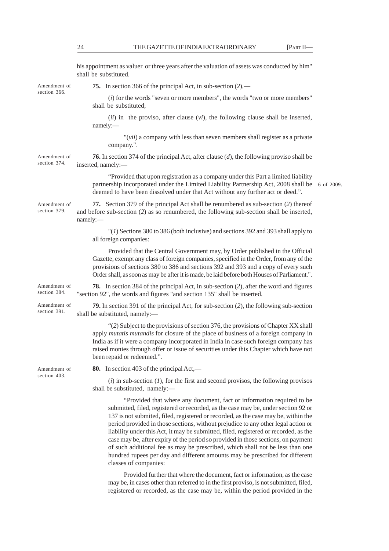|                              | his appointment as valuer or three years after the valuation of assets was conducted by him"<br>shall be substituted.                                                                                                                                                                                                                                                                                                                                                                                                                                                                                                                                                                                        |  |
|------------------------------|--------------------------------------------------------------------------------------------------------------------------------------------------------------------------------------------------------------------------------------------------------------------------------------------------------------------------------------------------------------------------------------------------------------------------------------------------------------------------------------------------------------------------------------------------------------------------------------------------------------------------------------------------------------------------------------------------------------|--|
| Amendment of<br>section 366. | 75. In section 366 of the principal Act, in sub-section $(2)$ ,—                                                                                                                                                                                                                                                                                                                                                                                                                                                                                                                                                                                                                                             |  |
|                              | $(i)$ for the words "seven or more members", the words "two or more members"<br>shall be substituted;                                                                                                                                                                                                                                                                                                                                                                                                                                                                                                                                                                                                        |  |
|                              | $(ii)$ in the proviso, after clause $(vi)$ , the following clause shall be inserted,<br>namely:-                                                                                                                                                                                                                                                                                                                                                                                                                                                                                                                                                                                                             |  |
|                              | " $(vii)$ a company with less than seven members shall register as a private<br>company.".                                                                                                                                                                                                                                                                                                                                                                                                                                                                                                                                                                                                                   |  |
| Amendment of<br>section 374. | <b>76.</b> In section 374 of the principal Act, after clause $(d)$ , the following proviso shall be<br>inserted, namely:-                                                                                                                                                                                                                                                                                                                                                                                                                                                                                                                                                                                    |  |
|                              | "Provided that upon registration as a company under this Part a limited liability<br>partnership incorporated under the Limited Liability Partnership Act, 2008 shall be 6 of 2009.<br>deemed to have been dissolved under that Act without any further act or deed.".                                                                                                                                                                                                                                                                                                                                                                                                                                       |  |
| Amendment of<br>section 379. | 77. Section 379 of the principal Act shall be renumbered as sub-section (2) thereof<br>and before sub-section (2) as so renumbered, the following sub-section shall be inserted,<br>namely:-                                                                                                                                                                                                                                                                                                                                                                                                                                                                                                                 |  |
|                              | $''(1)$ Sections 380 to 386 (both inclusive) and sections 392 and 393 shall apply to<br>all foreign companies:                                                                                                                                                                                                                                                                                                                                                                                                                                                                                                                                                                                               |  |
|                              | Provided that the Central Government may, by Order published in the Official<br>Gazette, exempt any class of foreign companies, specified in the Order, from any of the<br>provisions of sections 380 to 386 and sections 392 and 393 and a copy of every such<br>Order shall, as soon as may be after it is made, be laid before both Houses of Parliament.".                                                                                                                                                                                                                                                                                                                                               |  |
| Amendment of<br>section 384. | <b>78.</b> In section 384 of the principal Act, in sub-section (2), after the word and figures<br>"section 92", the words and figures "and section 135" shall be inserted.                                                                                                                                                                                                                                                                                                                                                                                                                                                                                                                                   |  |
| Amendment of<br>section 391. | <b>79.</b> In section 391 of the principal Act, for sub-section (2), the following sub-section<br>shall be substituted, namely:-                                                                                                                                                                                                                                                                                                                                                                                                                                                                                                                                                                             |  |
|                              | "(2) Subject to the provisions of section 376, the provisions of Chapter XX shall<br>apply mutatis mutandis for closure of the place of business of a foreign company in<br>India as if it were a company incorporated in India in case such foreign company has<br>raised monies through offer or issue of securities under this Chapter which have not<br>been repaid or redeemed.".                                                                                                                                                                                                                                                                                                                       |  |
| Amendment of<br>section 403. | 80. In section 403 of the principal $Act$ ,—                                                                                                                                                                                                                                                                                                                                                                                                                                                                                                                                                                                                                                                                 |  |
|                              | $(i)$ in sub-section $(I)$ , for the first and second provisos, the following provisos<br>shall be substituted, namely:-                                                                                                                                                                                                                                                                                                                                                                                                                                                                                                                                                                                     |  |
|                              | "Provided that where any document, fact or information required to be<br>submitted, filed, registered or recorded, as the case may be, under section 92 or<br>137 is not submited, filed, registered or recorded, as the case may be, within the<br>period provided in those sections, without prejudice to any other legal action or<br>liability under this Act, it may be submitted, filed, registered or recorded, as the<br>case may be, after expiry of the period so provided in those sections, on payment<br>of such additional fee as may be prescribed, which shall not be less than one<br>hundred rupees per day and different amounts may be prescribed for different<br>classes of companies: |  |
|                              | Provided further that where the document, fact or information, as the case                                                                                                                                                                                                                                                                                                                                                                                                                                                                                                                                                                                                                                   |  |

may be, in cases other than referred to in the first proviso, is not submitted, filed, registered or recorded, as the case may be, within the period provided in the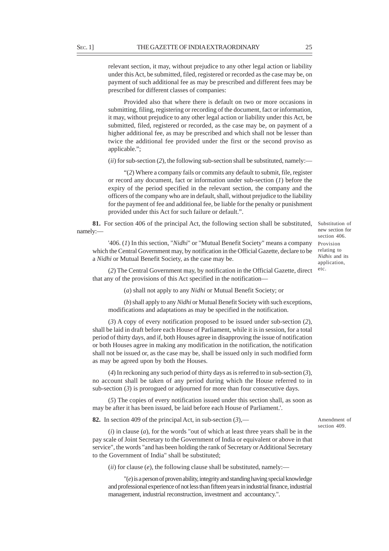relevant section, it may, without prejudice to any other legal action or liability under this Act, be submitted, filed, registered or recorded as the case may be, on payment of such additional fee as may be prescribed and different fees may be prescribed for different classes of companies:

Provided also that where there is default on two or more occasions in submitting, filing, registering or recording of the document, fact or information, it may, without prejudice to any other legal action or liability under this Act, be submitted, filed, registered or recorded, as the case may be, on payment of a higher additional fee, as may be prescribed and which shall not be lesser than twice the additional fee provided under the first or the second proviso as applicable.";

(*ii*) for sub-section (*2*), the following sub-section shall be substituted, namely:—

"(*2*) Where a company fails or commits any default to submit, file, register or record any document, fact or information under sub-section (*1*) before the expiry of the period specified in the relevant section, the company and the officers of the company who are in default, shall, without prejudice to the liability for the payment of fee and additional fee, be liable for the penalty or punishment provided under this Act for such failure or default.".

**81.** For section 406 of the principal Act, the following section shall be substituted, Substitution of namely:—

'406. (*1*) In this section, "*Nidhi*" or "Mutual Benefit Society" means a company Provision which the Central Government may, by notification in the Official Gazette, declare to be a *Nidhi* or Mutual Benefit Society, as the case may be.

 $(2)$  The Central Government may, by notification in the Official Gazette, direct  $etc.$ that any of the provisions of this Act specified in the notification—

(*a*) shall not apply to any *Nidhi* or Mutual Benefit Society; or

(*b*) shall apply to any *Nidhi* or Mutual Benefit Society with such exceptions, modifications and adaptations as may be specified in the notification.

(*3*) A copy of every notification proposed to be issued under sub-section (*2*), shall be laid in draft before each House of Parliament, while it is in session, for a total period of thirty days, and if, both Houses agree in disapproving the issue of notification or both Houses agree in making any modification in the notification, the notification shall not be issued or, as the case may be, shall be issued only in such modified form as may be agreed upon by both the Houses.

(*4*) In reckoning any such period of thirty days as is referred to in sub-section (*3*), no account shall be taken of any period during which the House referred to in sub-section (3) is prorogued or adjourned for more than four consecutive days.

(*5*) The copies of every notification issued under this section shall, as soon as may be after it has been issued, be laid before each House of Parliament.'.

**82.** In section 409 of the principal Act, in sub-section (*3*),—

(*i*) in clause (*a*), for the words "out of which at least three years shall be in the pay scale of Joint Secretary to the Government of India or equivalent or above in that service", the words "and has been holding the rank of Secretary or Additional Secretary to the Government of India" shall be substituted;

 $(iii)$  for clause  $(e)$ , the following clause shall be substituted, namely:—

"(*e*) is a person of proven ability, integrity and standing having special knowledge and professional experience of not less than fifteen years in industrial finance, industrial management, industrial reconstruction, investment and accountancy.".

Amendment of section 409.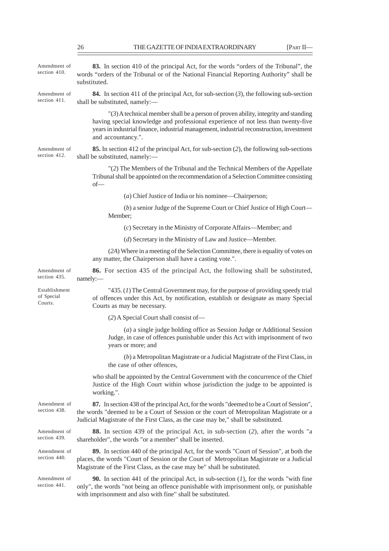| Amendment of<br>section 410.           | 83. In section 410 of the principal Act, for the words "orders of the Tribunal", the<br>words "orders of the Tribunal or of the National Financial Reporting Authority" shall be<br>substituted.                                                                                                                  |  |
|----------------------------------------|-------------------------------------------------------------------------------------------------------------------------------------------------------------------------------------------------------------------------------------------------------------------------------------------------------------------|--|
| Amendment of<br>section 411.           | 84. In section 411 of the principal Act, for sub-section $(3)$ , the following sub-section<br>shall be substituted, namely:-                                                                                                                                                                                      |  |
|                                        | $\mathcal{C}(\mathcal{J})$ A technical member shall be a person of proven ability, integrity and standing<br>having special knowledge and professional experience of not less than twenty-five<br>years in industrial finance, industrial management, industrial reconstruction, investment<br>and accountancy.". |  |
| Amendment of<br>section 412.           | 85. In section 412 of the principal Act, for sub-section (2), the following sub-sections<br>shall be substituted, namely:-                                                                                                                                                                                        |  |
|                                        | "(2) The Members of the Tribunal and the Technical Members of the Appellate<br>Tribunal shall be appointed on the recommendation of a Selection Committee consisting<br>$of$ —                                                                                                                                    |  |
|                                        | (a) Chief Justice of India or his nominee—Chairperson;                                                                                                                                                                                                                                                            |  |
|                                        | (b) a senior Judge of the Supreme Court or Chief Justice of High Court—<br>Member;                                                                                                                                                                                                                                |  |
|                                        | (c) Secretary in the Ministry of Corporate Affairs—Member; and                                                                                                                                                                                                                                                    |  |
|                                        | (d) Secretary in the Ministry of Law and Justice—Member.                                                                                                                                                                                                                                                          |  |
|                                        | (2A) Where in a meeting of the Selection Committee, there is equality of votes on<br>any matter, the Chairperson shall have a casting vote.".                                                                                                                                                                     |  |
| Amendment of<br>section 435.           | 86. For section 435 of the principal Act, the following shall be substituted,<br>namely:-                                                                                                                                                                                                                         |  |
| Establishment<br>of Special<br>Courts. | "435. $(I)$ The Central Government may, for the purpose of providing speedy trial<br>of offences under this Act, by notification, establish or designate as many Special<br>Courts as may be necessary.                                                                                                           |  |
|                                        | $(2)$ A Special Court shall consist of —                                                                                                                                                                                                                                                                          |  |
|                                        | $(a)$ a single judge holding office as Session Judge or Additional Session<br>Judge, in case of offences punishable under this Act with imprisonment of two<br>years or more; and                                                                                                                                 |  |
|                                        | (b) a Metropolitan Magistrate or a Judicial Magistrate of the First Class, in<br>the case of other offences,                                                                                                                                                                                                      |  |
|                                        | who shall be appointed by the Central Government with the concurrence of the Chief<br>Justice of the High Court within whose jurisdiction the judge to be appointed is<br>working.".                                                                                                                              |  |
| Amendment of<br>section 438.           | 87. In section 438 of the principal Act, for the words "deemed to be a Court of Session",<br>the words "deemed to be a Court of Session or the court of Metropolitan Magistrate or a<br>Judicial Magistrate of the First Class, as the case may be," shall be substituted.                                        |  |
| Amendment of<br>section 439.           | <b>88.</b> In section 439 of the principal Act, in sub-section (2), after the words "a<br>shareholder", the words "or a member" shall be inserted.                                                                                                                                                                |  |
| Amendment of<br>section 440.           | 89. In section 440 of the principal Act, for the words "Court of Session", at both the<br>places, the words "Court of Session or the Court of Metropolitan Magistrate or a Judicial<br>Magistrate of the First Class, as the case may be" shall be substituted.                                                   |  |
| Amendment of<br>section 441.           | <b>90.</b> In section 441 of the principal Act, in sub-section $(1)$ , for the words "with fine<br>only", the words "not being an offence punishable with imprisonment only, or punishable<br>with imprisonment and also with fine" shall be substituted.                                                         |  |